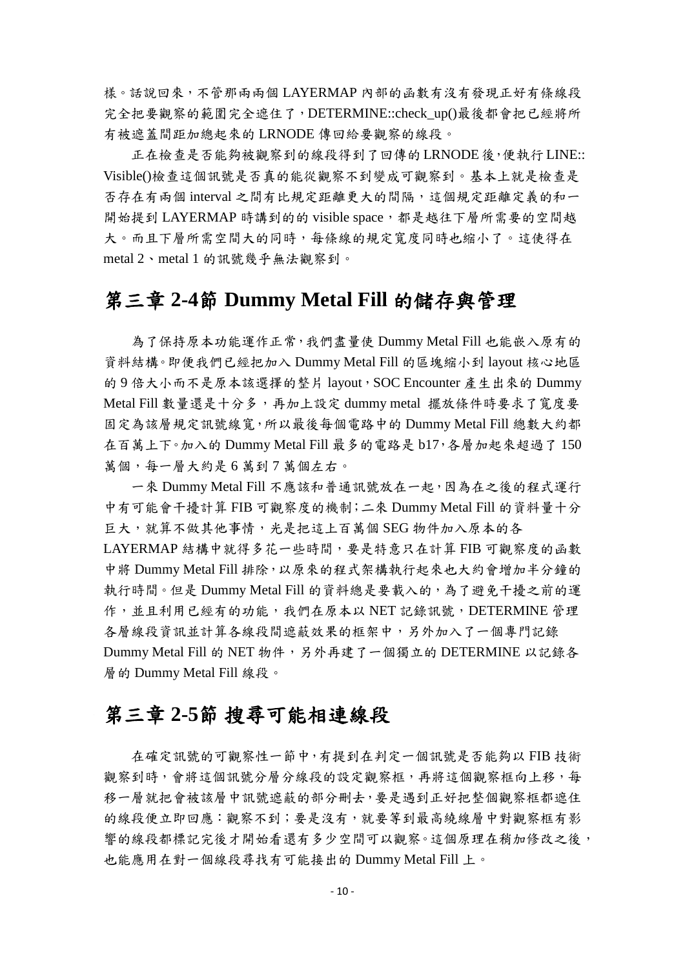樣。話說回來,不管那兩兩個 LAYERMAP 內部的函數有沒有發現正好有條線段 完全把要觀察的範圍完全遮住了,DETERMINE::check\_up()最後都會把已經將所 有被遮蓋間距加總起來的 LRNODE 傳回給要觀察的線段。

正在檢查是否能夠被觀察到的線段得到了回傳的 LRNODE 後,便執行 LINE:: Visible()檢查這個訊號是否真的能從觀察不到變成可觀察到。基本上就是檢查是 否存在有兩個 interval 之間有比規定距離更大的間隔,這個規定距離定義的和一 開始提到 LAYERMAP 時講到的的 visible space,都是越往下層所需要的空間越 大。而且下層所需空間大的同時,每條線的規定寬度同時也縮小了。這使得在 metal 2、metal 1 的訊號幾乎無法觀察到。

#### 第三章 **2-4**節 **Dummy Metal Fill** 的儲存與管理

為了保持原本功能運作正常,我們盡量使 Dummy Metal Fill 也能嵌入原有的 資料結構。即便我們已經把加入 Dummy Metal Fill 的區塊縮小到 layout 核心地區 的9倍大小而不是原本該選擇的整片 layout, SOC Encounter 產生出來的 Dummy Metal Fill 數量還是十分多,再加上設定 dummy metal 擺放條件時要求了寬度要 固定為該層規定訊號線寬,所以最後每個電路中的 Dummy Metal Fill 總數大約都 在百萬上下。加入的 Dummy Metal Fill 最多的電路是 b17,各層加起來超過了 150 萬個,每一層大約是6萬到7萬個左右。

一來 Dummy Metal Fill 不應該和普通訊號放在一起,因為在之後的程式運行 中有可能會干擾計算 FIB 可觀察度的機制;二來 Dummy Metal Fill 的資料量十分 巨大,就算不做其他事情,光是把這上百萬個 SEG 物件加入原本的各 LAYERMAP 結構中就得多花一些時間,要是特意只在計算 FIB 可觀察度的函數 中將 Dummy Metal Fill 排除,以原來的程式架構執行起來也大約會增加半分鐘的 執行時間。但是 Dummy Metal Fill 的資料總是要載入的,為了避免干擾之前的運 作,並且利用已經有的功能,我們在原本以 NET 記錄訊號, DETERMINE 管理 各層線段資訊並計算各線段間遮蔽效果的框架中,另外加入了一個專門記錄 Dummy Metal Fill 的 NET 物件,另外再建了一個獨立的 DETERMINE 以記錄各 層的 Dummy Metal Fill 線段。

## 第三章 **2-5**節 搜尋可能相連線段

在確定訊號的可觀察性一節中,有提到在判定一個訊號是否能夠以 FIB 技術 觀察到時,會將這個訊號分層分線段的設定觀察框,再將這個觀察框向上移,每 移一層就把會被該層中訊號遮蔽的部分刪去,要是遇到正好把整個觀察框都遮住 的線段便立即回應:觀察不到;要是沒有,就要等到最高繞線層中對觀察框有影 響的線段都標記完後才開始看還有多少空間可以觀察。這個原理在稍加修改之後, 也能應用在對一個線段尋找有可能接出的 Dummy Metal Fill 上。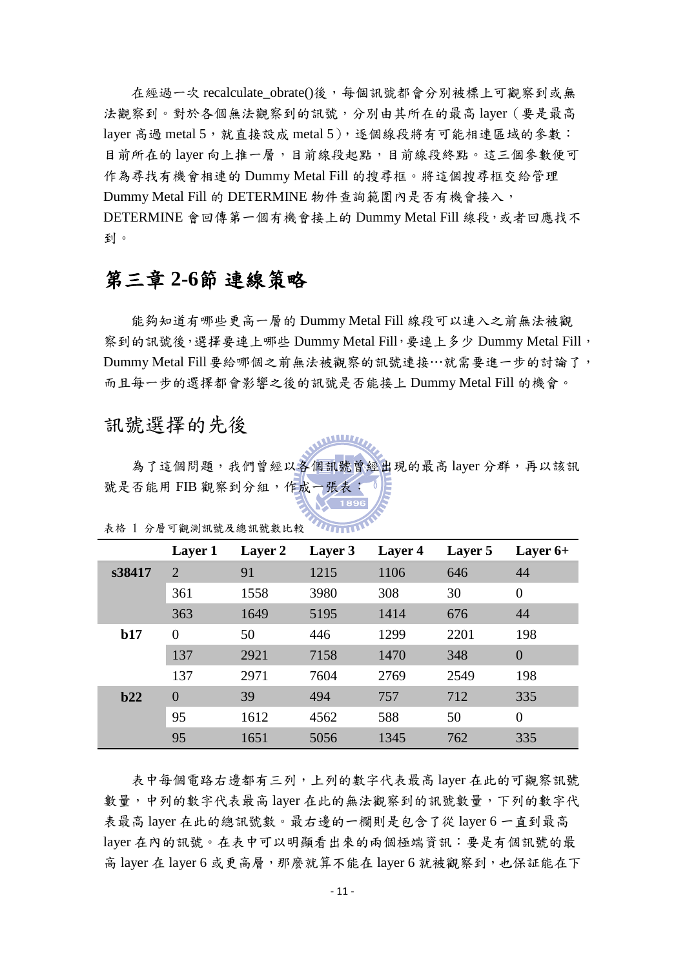在經過一次 recalculate\_obrate()後,每個訊號都會分別被標上可觀察到或無 法觀察到。對於各個無法觀察到的訊號,分別由其所在的最高 layer(要是最高 layer 高過 metal 5, 就直接設成 metal 5), 逐個線段將有可能相連區域的參數: 目前所在的 layer 向上推一層,目前線段起點,目前線段終點。這三個參數便可 作為尋找有機會相連的 Dummy Metal Fill 的搜尋框。將這個搜尋框交給管理 Dummy Metal Fill 的 DETERMINE 物件查詢範圍內是否有機會接入, DETERMINE 會回傳第一個有機會接上的 Dummy Metal Fill 線段,或者回應找不 到。

### 第三章 **2-6**節 連線策略

能夠知道有哪些更高一層的 Dummy Metal Fill 線段可以連入之前無法被觀 察到的訊號後,選擇要連上哪些 Dummy Metal Fill,要連上多少 Dummy Metal Fill, Dummy Metal Fill要給哪個之前無法被觀察的訊號連接…就需要進一步的討論了, 而且每一步的選擇都會影響之後的訊號是否能接上 Dummy Metal Fill 的機會。

#### 訊號選擇的先後

為了這個問題,我們曾經以各個訊號曾經出現的最高 layer 分群,再以該訊 號是否能用 FIB 觀察到分組,作成一張表

|        | Layer 1        | Layer 2 | Layer 3 | Layer 4 | Layer 5 | Layer $6+$     |
|--------|----------------|---------|---------|---------|---------|----------------|
| s38417 | $\overline{2}$ | 91      | 1215    | 1106    | 646     | 44             |
|        | 361            | 1558    | 3980    | 308     | 30      | $\overline{0}$ |
|        | 363            | 1649    | 5195    | 1414    | 676     | 44             |
| b17    | $\overline{0}$ | 50      | 446     | 1299    | 2201    | 198            |
|        | 137            | 2921    | 7158    | 1470    | 348     | $\overline{0}$ |
|        | 137            | 2971    | 7604    | 2769    | 2549    | 198            |
| b22    | $\Omega$       | 39      | 494     | 757     | 712     | 335            |
|        | 95             | 1612    | 4562    | 588     | 50      | $\theta$       |
|        | 95             | 1651    | 5056    | 1345    | 762     | 335            |

表格 1 分層可觀測訊號及總訊號數比較

表中每個電路右邊都有三列,上列的數字代表最高 layer 在此的可觀察訊號 數量,中列的數字代表最高 laver 在此的無法觀察到的訊號數量,下列的數字代 表最高 layer 在此的總訊號數。最右邊的一欄則是包含了從 layer 6 一直到最高 layer 在內的訊號。在表中可以明顯看出來的兩個極端資訊:要是有個訊號的最 高 layer 在 layer 6 或更高層,那麼就算不能在 layer 6 就被觀察到,也保証能在下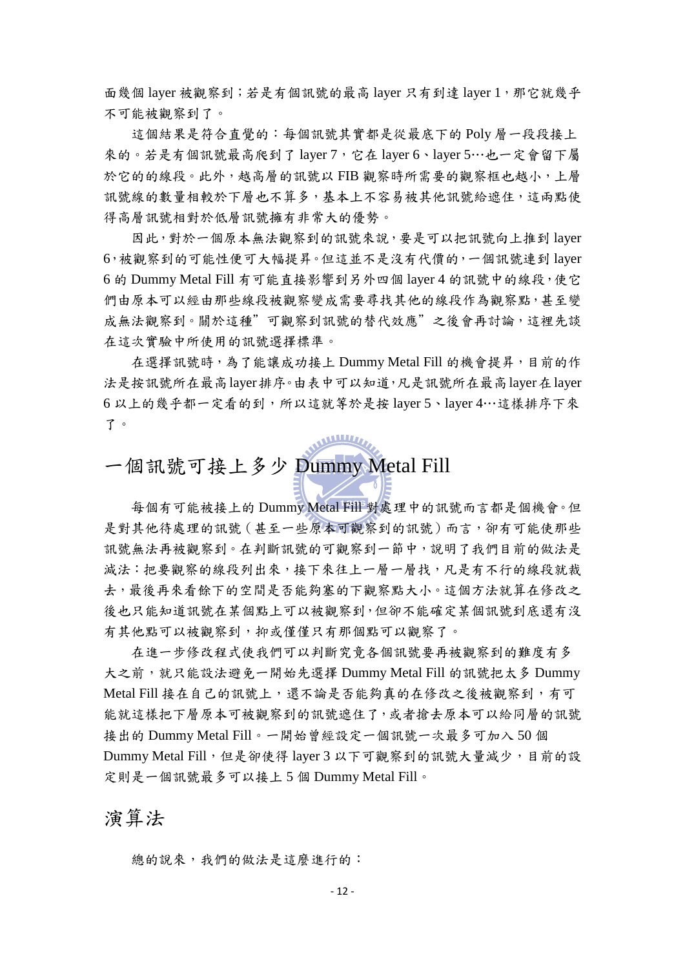面幾個 layer 被觀察到;若是有個訊號的最高 layer 只有到達 layer 1,那它就幾乎 不可能被觀察到了。

這個結果是符合直覺的:每個訊號其實都是從最底下的 Poly 層一段段接上 來的。若是有個訊號最高爬到了 layer 7,它在 layer 6、layer 5…也一定會留下屬 於它的的線段。此外,越高層的訊號以 FIB 觀察時所需要的觀察框也越小,上層 訊號線的數量相較於下層也不算多,基本上不容易被其他訊號給遮住,這兩點使 得高層訊號相對於低層訊號擁有非常大的優勢。

因此,對於一個原本無法觀察到的訊號來說,要是可以把訊號向上推到 layer 6,被觀察到的可能性便可大幅提昇。但這並不是沒有代價的,一個訊號連到 layer 6 的 Dummy Metal Fill 有可能直接影響到另外四個 layer 4 的訊號中的線段,使它 們由原本可以經由那些線段被觀察變成需要尋找其他的線段作為觀察點,甚至變 成無法觀察到。關於這種"可觀察到訊號的替代效應"之後會再討論,這裡先談 在這次實驗中所使用的訊號選擇標準。

在選擇訊號時,為了能讓成功接上 Dummy Metal Fill 的機會提昇,目前的作 法是按訊號所在最高layer排序。由表中可以知道,凡是訊號所在最高layer在layer 6 以上的幾乎都一定看的到,所以這就等於是按 layer 5、layer 4…這樣排序下來 了。

一個訊號可接上多少 Dummy Metal Fill

每個有可能被接上的 Dummy Metal Fill 對處理中的訊號而言都是個機會。但 是對其他待處理的訊號(甚至一些原本可觀察到的訊號)而言,卻有可能使那些 訊號無法再被觀察到。在判斷訊號的可觀察到一節中,說明了我們目前的做法是 減法:把要觀察的線段列出來,接下來往上一層一層找,凡是有不行的線段就裁 去,最後再來看餘下的空間是否能夠塞的下觀察點大小。這個方法就算在修改之 後也只能知道訊號在某個點上可以被觀察到,但卻不能確定某個訊號到底還有沒 有其他點可以被觀察到,抑或僅僅只有那個點可以觀察了。

在進一步修改程式使我們可以判斷究竟各個訊號要再被觀察到的難度有多 大之前,就只能設法避免一開始先選擇 Dummy Metal Fill 的訊號把太多 Dummy Metal Fill 接在自己的訊號上,還不論是否能夠真的在修改之後被觀察到,有可 能就這樣把下層原本可被觀察到的訊號遮住了,或者搶去原本可以給同層的訊號 接出的 Dummy Metal Fill。一開始曾經設定一個訊號一次最多可加入 50 個 Dummy Metal Fill,但是卻使得 layer 3 以下可觀察到的訊號大量減少,目前的設 定則是一個訊號最多可以接上 5 個 Dummy Metal Fill。

演算法

總的說來,我們的做法是這麼進行的: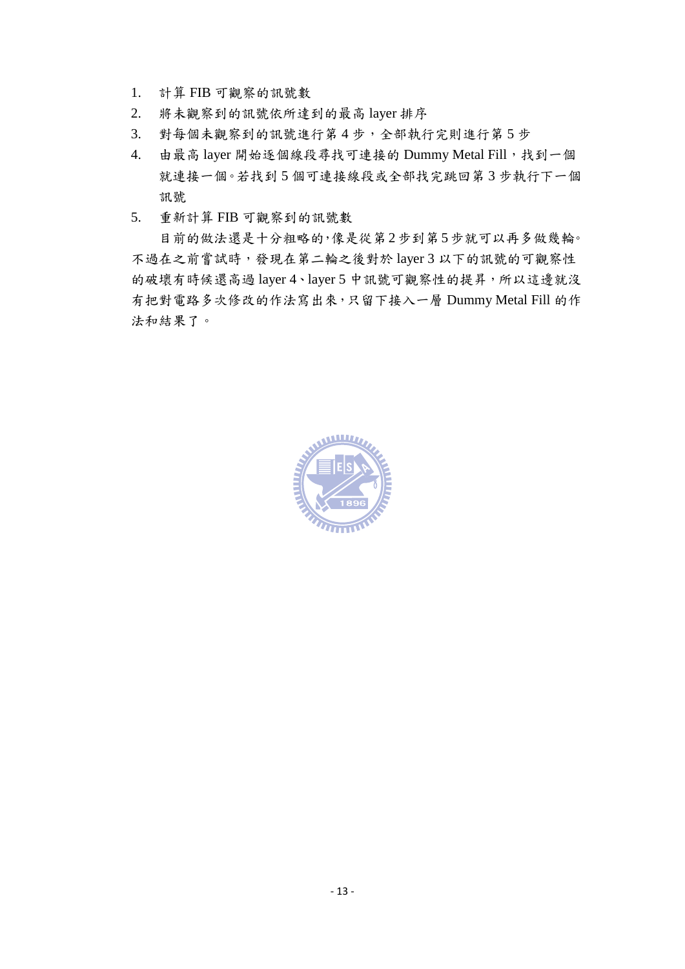- 1. 計算 FIB 可觀察的訊號數
- 2. 將未觀察到的訊號依所達到的最高 layer 排序
- 3. 對每個未觀察到的訊號進行第 4 步,全部執行完則進行第 5 步
- 4. 由最高 layer 開始逐個線段尋找可連接的 Dummy Metal Fill,找到一個 就連接一個。若找到 5 個可連接線段或全部找完跳回第 3 步執行下一個 訊號
- 5. 重新計算 FIB 可觀察到的訊號數

目前的做法還是十分粗略的,像是從第2步到第5步就可以再多做幾輪。 不過在之前嘗詴時,發現在第二輪之後對於 layer 3 以下的訊號的可觀察性 的破壞有時候還高過 layer 4、layer 5 中訊號可觀察性的提昇,所以這邊就沒 有把對電路多次修改的作法寫出來,只留下接入一層 Dummy Metal Fill 的作 法和結果了。

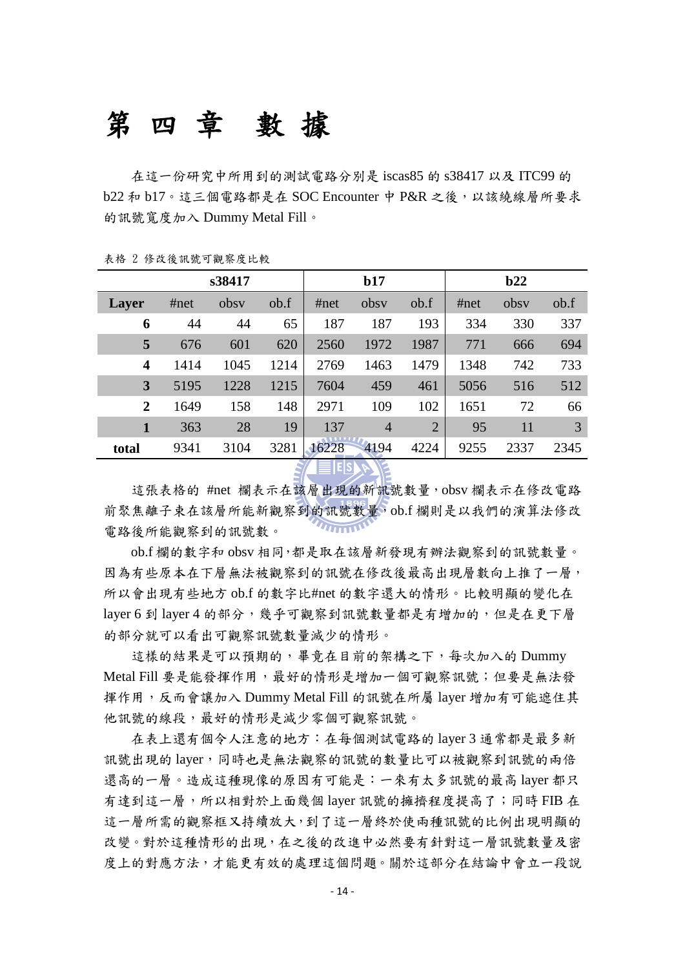# 第四章 數 據

在這一份研究中所用到的測詴電路分別是 iscas85 的 s38417 以及 ITC99 的 b22 和 b17。這三個電路都是在 SOC Encounter 中 P&R 之後,以該繞線層所要求 的訊號寬度加入 Dummy Metal Fill。

| 表格 2 修改後訊號可觀察度比較 |  |  |  |  |  |  |
|------------------|--|--|--|--|--|--|
|------------------|--|--|--|--|--|--|

|                  | s38417 |      |      | b17   |                |                | b22  |      |      |
|------------------|--------|------|------|-------|----------------|----------------|------|------|------|
| Layer            | #net   | obsy | ob.f | #net  | obsy           | ob.f           | #net | obsy | ob.f |
| 6                | 44     | 44   | 65   | 187   | 187            | 193            | 334  | 330  | 337  |
| 5                | 676    | 601  | 620  | 2560  | 1972           | 1987           | 771  | 666  | 694  |
| $\boldsymbol{4}$ | 1414   | 1045 | 1214 | 2769  | 1463           | 1479           | 1348 | 742  | 733  |
| 3                | 5195   | 1228 | 1215 | 7604  | 459            | 461            | 5056 | 516  | 512  |
| $\mathbf{2}$     | 1649   | 158  | 148  | 2971  | 109            | 102            | 1651 | 72   | 66   |
| 1                | 363    | 28   | 19   | 137   | $\overline{4}$ | $\overline{2}$ | 95   | 11   | 3    |
| total            | 9341   | 3104 | 3281 | 16228 | 4194           | 4224           | 9255 | 2337 | 2345 |

 $\leq$   $\equiv$   $\lvert$   $\lvert$   $\leq$   $\lvert$   $\leq$   $\lvert$   $\leq$ 

這張表格的 #net 欄表示在該層出現的新訊號數量,obsv 欄表示在修改電路 前聚焦離子束在該層所能新觀察到的訊號數量,ob.f 欄則是以我們的演算法修改  $\overline{\mathbf{u}_{\text{max}}}$ 電路後所能觀察到的訊號數。

ob.f 欄的數字和 obsv 相同,都是取在該層新發現有辦法觀察到的訊號數量。 因為有些原本在下層無法被觀察到的訊號在修改後最高出現層數向上推了一層, 所以會出現有些地方 ob.f 的數字比#net 的數字還大的情形。比較明顯的變化在 layer 6 到 layer 4 的部分,幾乎可觀察到訊號數量都是有增加的,但是在更下層 的部分就可以看出可觀察訊號數量滅少的情形。

這樣的結果是可以預期的,畢竟在目前的架構之下,每次加入的 Dummy Metal Fill 要是能發揮作用,最好的情形是增加一個可觀察訊號;但要是無法發 揮作用,反而會讓加入 Dummy Metal Fill 的訊號在所屬 layer 增加有可能遮住其 他訊號的線段,最好的情形是減少零個可觀察訊號。

在表上還有個令人注意的地方:在每個測詴電路的 layer 3 通常都是最多新 訊號出現的 layer,同時也是無法觀察的訊號的數量比可以被觀察到訊號的兩倍 還高的一層。造成這種現像的原因有可能是:一來有太多訊號的最高 layer 都只 有達到這一層,所以相對於上面幾個 layer 訊號的擁擠程度提高了;同時 FIB 在 這一層所需的觀察框又持續放大,到了這一層終於使兩種訊號的比例出現明顯的 改變。對於這種情形的出現,在之後的改進中必然要有針對這一層訊號數量及密 度上的對應方法,才能更有效的處理這個問題。關於這部分在結論中會立一段說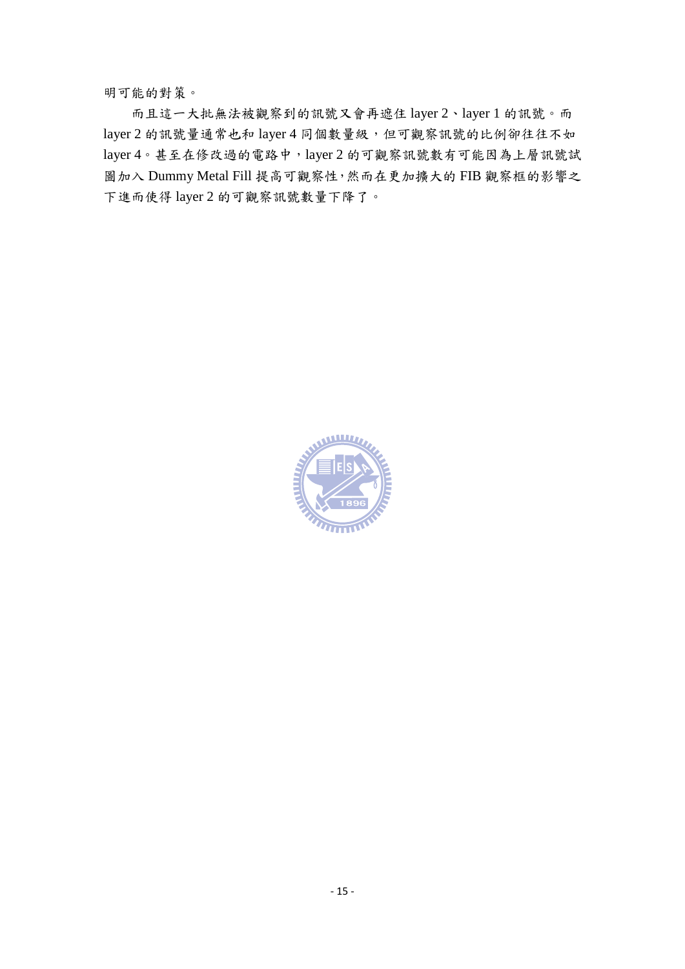明可能的對策。

而且這一大批無法被觀察到的訊號又會再遮住 layer 2、layer 1 的訊號。而 layer 2 的訊號量通常也和 layer 4 同個數量級,但可觀察訊號的比例卻往往不如 layer 4。甚至在修改過的電路中,layer 2 的可觀察訊號數有可能因為上層訊號詴 圖加入 Dummy Metal Fill 提高可觀察性,然而在更加擴大的 FIB 觀察框的影響之 下進而使得 layer 2 的可觀察訊號數量下降了。

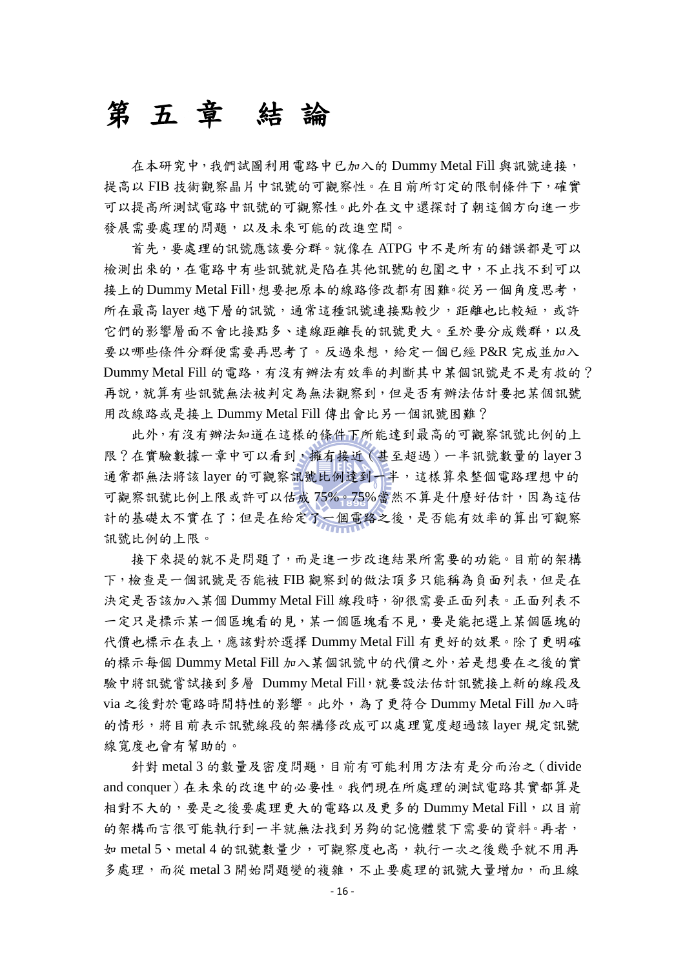## 第五章 結 論

在本研究中,我們試圖利用電路中已加入的 Dummy Metal Fill 與訊號連接, 提高以 FIB 技術觀察晶片中訊號的可觀察性。在目前所訂定的限制條件下,確實 可以提高所測試電路中訊號的可觀察性。此外在文中還探討了朝這個方向進一步 發展需要處理的問題,以及未來可能的改進空間。

首先,要處理的訊號應該要分群。就像在 ATPG 中不是所有的錯誤都是可以 檢測出來的,在電路中有些訊號就是陷在其他訊號的包圍之中,不止找不到可以 接上的Dummy Metal Fill,想要把原本的線路修改都有困難。從另一個角度思考, 所在最高 layer 越下層的訊號,通常這種訊號連接點較少,距離也比較短,或許 它們的影響層面不會比接點多、連線距離長的訊號更大。至於要分成幾群,以及 要以哪些條件分群便需要再思考了。反過來想,給定一個已經 P&R 完成並加入 Dummy Metal Fill 的電路,有沒有辦法有效率的判斷其中某個訊號是不是有救的? 再說,就算有些訊號無法被判定為無法觀察到,但是否有辦法估計要把某個訊號 用改線路或是接上 Dummy Metal Fill 傳出會比另一個訊號困難?

此外,有沒有辦法知道在這樣的條件下所能達到最高的可觀察訊號比例的上 限?在實驗數據一章中可以看到,擁有接近(甚至超過)一半訊號數量的 layer 3 通常都無法將該 layer 的可觀察訊號比例達到一半,這樣算來整個電路理想中的 可觀察訊號比例上限或許可以估成 75%。75%當然不算是什麼好估計,因為這估 計的基礎太不實在了;但是在給定了一個電路之後,是否能有效率的算出可觀察 訊號比例的上限。

接下來提的就不是問題了,而是進一步改進結果所需要的功能。目前的架構 下,檢查是一個訊號是否能被 FIB 觀察到的做法頂多只能稱為負面列表,但是在 決定是否該加入某個 Dummy Metal Fill 線段時, 卻很需要正面列表。正面列表不 一定只是標示某一個區塊看的見,某一個區塊看不見,要是能把選上某個區塊的 代價也標示在表上,應該對於選擇 Dummy Metal Fill 有更好的效果。除了更明確 的標示每個 Dummy Metal Fill 加入某個訊號中的代價之外,若是想要在之後的實 驗中將訊號嘗試接到多層 Dummy Metal Fill,就要設法估計訊號接上新的線段及 via 之後對於電路時間特性的影響。此外,為了更符合 Dummy Metal Fill 加入時 的情形,將目前表示訊號線段的架構修改成可以處理寬度超過該 layer 規定訊號 線寬度也會有幫助的。

針對 metal 3 的數量及密度問題,目前有可能利用方法有是分而治之(divide and conquer)在未來的改進中的必要性。我們現在所處理的測詴電路其實都算是 相對不大的,要是之後要處理更大的電路以及更多的 Dummy Metal Fill,以目前 的架構而言很可能執行到一半就無法找到另夠的記憶體裝下需要的資料。再者, 如 metal 5、metal 4 的訊號數量少,可觀察度也高,執行一次之後幾乎就不用再 多處理,而從 metal 3 開始問題變的複雜,不止要處理的訊號大量增加,而且線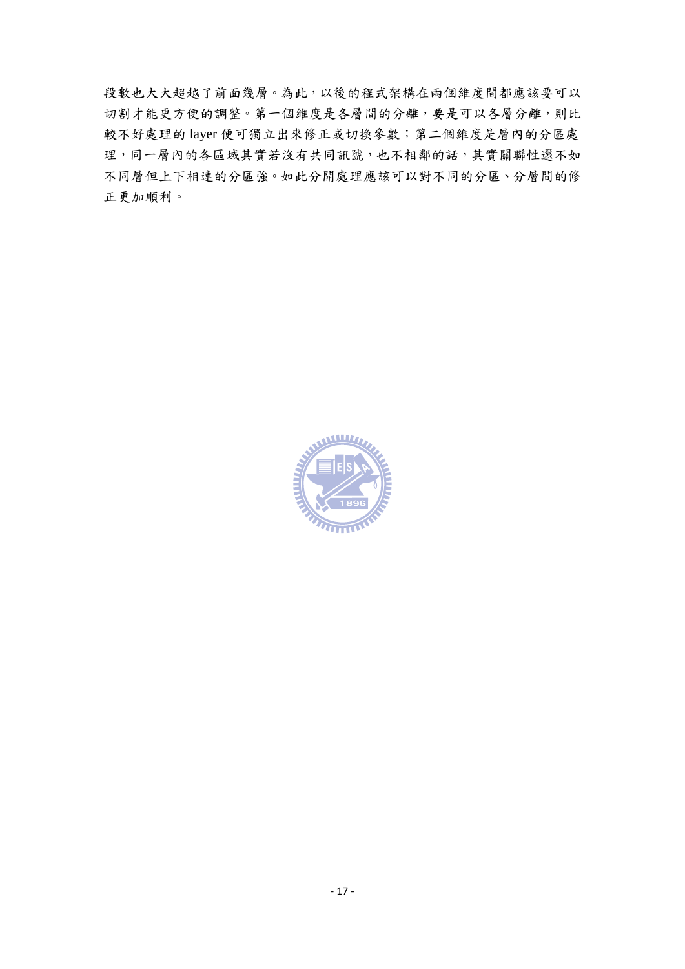段數也大大超越了前面幾層。為此,以後的程式架構在兩個維度間都應該要可以 切割才能更方便的調整。第一個維度是各層間的分離,要是可以各層分離,則比 較不好處理的 layer 便可獨立出來修正或切換參數;第二個維度是層內的分區處 理,同一層內的各區域其實若沒有共同訊號,也不相鄰的話,其實關聯性還不如 不同層但上下相連的分區強。如此分開處理應該可以對不同的分區、分層間的修 正更加順利。

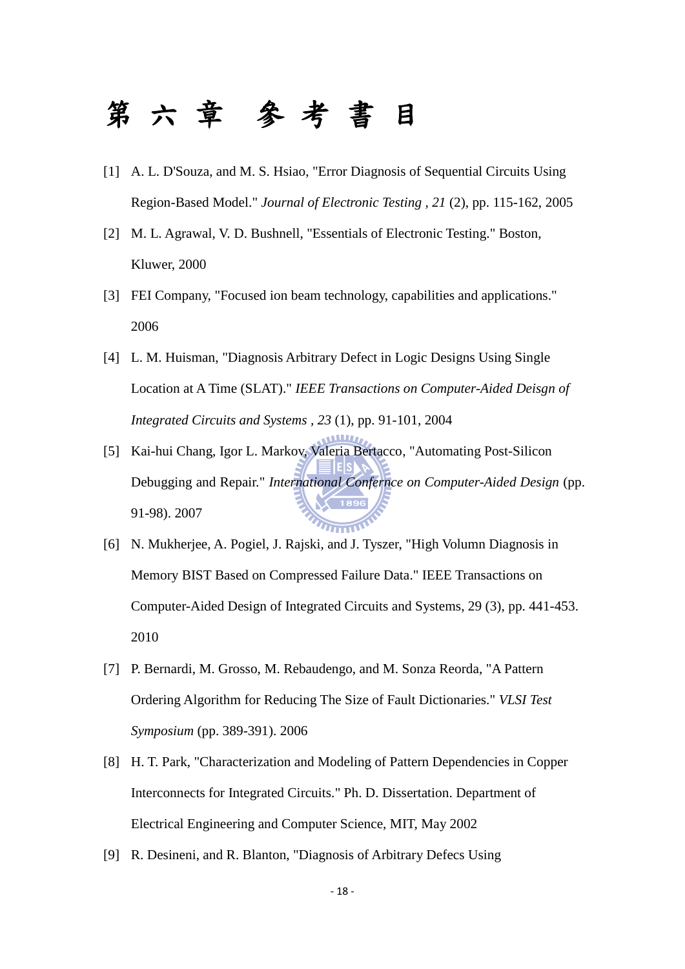# 第六章 參 考 書 目

- [1] A. L. D'Souza, and M. S. Hsiao, "Error Diagnosis of Sequential Circuits Using Region-Based Model." *Journal of Electronic Testing , 21* (2), pp. 115-162, 2005
- [2] M. L. Agrawal, V. D. Bushnell, "Essentials of Electronic Testing." Boston, Kluwer, 2000
- [3] FEI Company, "Focused ion beam technology, capabilities and applications." 2006
- [4] L. M. Huisman, "Diagnosis Arbitrary Defect in Logic Designs Using Single Location at A Time (SLAT)." *IEEE Transactions on Computer-Aided Deisgn of Integrated Circuits and Systems , 23* (1), pp. 91-101, 2004
- [5] Kai-hui Chang, Igor L. Markov, Valeria Bertacco, "Automating Post-Silicon Debugging and Repair." *International Confernce on Computer-Aided Design* (pp. 91-98). 2007
- [6] N. Mukherjee, A. Pogiel, J. Rajski, and J. Tyszer, "High Volumn Diagnosis in Memory BIST Based on Compressed Failure Data." IEEE Transactions on Computer-Aided Design of Integrated Circuits and Systems, 29 (3), pp. 441-453. 2010
- [7] P. Bernardi, M. Grosso, M. Rebaudengo, and M. Sonza Reorda, "A Pattern Ordering Algorithm for Reducing The Size of Fault Dictionaries." *VLSI Test Symposium* (pp. 389-391). 2006
- [8] H. T. Park, "Characterization and Modeling of Pattern Dependencies in Copper Interconnects for Integrated Circuits." Ph. D. Dissertation. Department of Electrical Engineering and Computer Science, MIT, May 2002
- [9] R. Desineni, and R. Blanton, "Diagnosis of Arbitrary Defecs Using